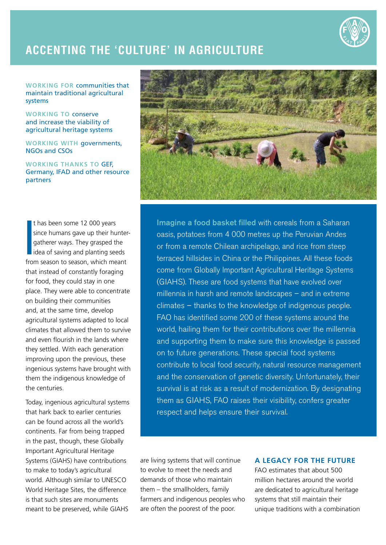

## **Accenting the 'culture' in agriculture**

**Working for** communities that maintain traditional agricultural systems

**Working to** conserve and increase the viability of agricultural heritage systems

**Working with** governments, NGOs and CSOs

**Working thanks to** GEF, Germany, IFAD and other resource partners

|<br>|<br>fro t has been some 12 000 years since humans gave up their huntergatherer ways. They grasped the idea of saving and planting seeds from season to season, which meant that instead of constantly foraging for food, they could stay in one place. They were able to concentrate on building their communities and, at the same time, develop agricultural systems adapted to local climates that allowed them to survive and even flourish in the lands where they settled. With each generation improving upon the previous, these ingenious systems have brought with them the indigenous knowledge of the centuries.

Today, ingenious agricultural systems that hark back to earlier centuries can be found across all the world's continents. Far from being trapped in the past, though, these Globally Important Agricultural Heritage Systems (GIAHS) have contributions to make to today's agricultural world. Although similar to UNESCO World Heritage Sites, the difference is that such sites are monuments meant to be preserved, while GIAHS



Imagine a food basket filled with cereals from a Saharan oasis, potatoes from 4 000 metres up the Peruvian Andes or from a remote Chilean archipelago, and rice from steep terraced hillsides in China or the Philippines. All these foods come from Globally Important Agricultural Heritage Systems (GIAHS). These are food systems that have evolved over millennia in harsh and remote landscapes – and in extreme climates – thanks to the knowledge of indigenous people. FAO has identified some 200 of these systems around the world, hailing them for their contributions over the millennia and supporting them to make sure this knowledge is passed on to future generations. These special food systems contribute to local food security, natural resource management and the conservation of genetic diversity. Unfortunately, their survival is at risk as a result of modernization. By designating them as GIAHS, FAO raises their visibility, confers greater respect and helps ensure their survival.

are living systems that will continue to evolve to meet the needs and demands of those who maintain them – the smallholders, family farmers and indigenous peoples who are often the poorest of the poor.

## **A legacy for the future**

FAO estimates that about 500 million hectares around the world are dedicated to agricultural heritage systems that still maintain their unique traditions with a combination